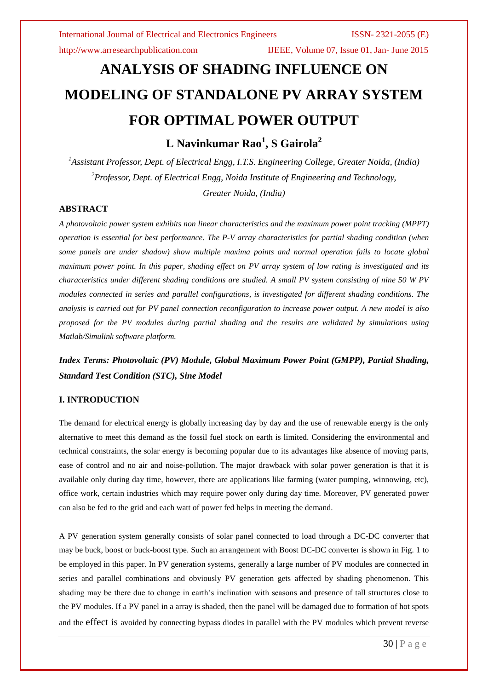# **ANALYSIS OF SHADING INFLUENCE ON MODELING OF STANDALONE PV ARRAY SYSTEM FOR OPTIMAL POWER OUTPUT**

**L Navinkumar Rao<sup>1</sup> , S Gairola<sup>2</sup>**

*<sup>1</sup>Assistant Professor, Dept. of Electrical Engg, I.T.S. Engineering College, Greater Noida, (India) <sup>2</sup>Professor, Dept. of Electrical Engg, Noida Institute of Engineering and Technology, Greater Noida, (India)*

# **ABSTRACT**

*A photovoltaic power system exhibits non linear characteristics and the maximum power point tracking (MPPT) operation is essential for best performance. The P-V array characteristics for partial shading condition (when some panels are under shadow) show multiple maxima points and normal operation fails to locate global maximum power point. In this paper, shading effect on PV array system of low rating is investigated and its characteristics under different shading conditions are studied. A small PV system consisting of nine 50 W PV modules connected in series and parallel configurations, is investigated for different shading conditions. The analysis is carried out for PV panel connection reconfiguration to increase power output. A new model is also proposed for the PV modules during partial shading and the results are validated by simulations using Matlab/Simulink software platform.* 

*Index Terms: Photovoltaic (PV) Module, Global Maximum Power Point (GMPP), Partial Shading, Standard Test Condition (STC), Sine Model*

# **I. INTRODUCTION**

The demand for electrical energy is globally increasing day by day and the use of renewable energy is the only alternative to meet this demand as the fossil fuel stock on earth is limited. Considering the environmental and technical constraints, the solar energy is becoming popular due to its advantages like absence of moving parts, ease of control and no air and noise-pollution. The major drawback with solar power generation is that it is available only during day time, however, there are applications like farming (water pumping, winnowing, etc), office work, certain industries which may require power only during day time. Moreover, PV generated power can also be fed to the grid and each watt of power fed helps in meeting the demand.

A PV generation system generally consists of solar panel connected to load through a DC-DC converter that may be buck, boost or buck-boost type. Such an arrangement with Boost DC-DC converter is shown in Fig. 1 to be employed in this paper. In PV generation systems, generally a large number of PV modules are connected in series and parallel combinations and obviously PV generation gets affected by shading phenomenon. This shading may be there due to change in earth's inclination with seasons and presence of tall structures close to the PV modules. If a PV panel in a array is shaded, then the panel will be damaged due to formation of hot spots and the effect is avoided by connecting bypass diodes in parallel with the PV modules which prevent reverse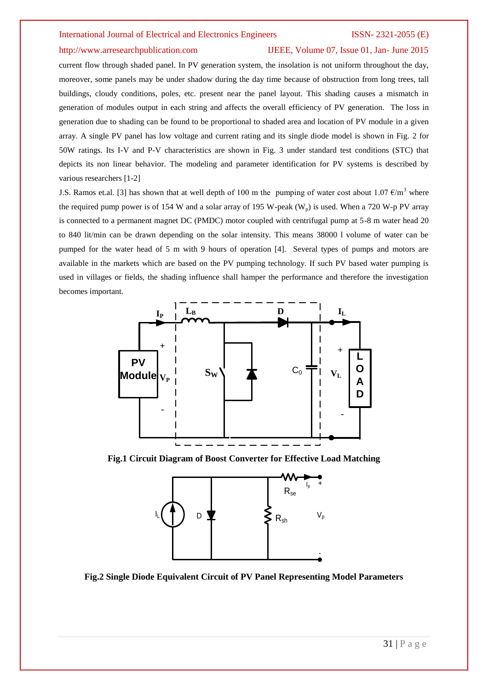### http://www.arresearchpublication.com IJEEE, Volume 07, Issue 01, Jan- June 2015

current flow through shaded panel. In PV generation system, the insolation is not uniform throughout the day, moreover, some panels may be under shadow during the day time because of obstruction from long trees, tall buildings, cloudy conditions, poles, etc. present near the panel layout. This shading causes a mismatch in generation of modules output in each string and affects the overall efficiency of PV generation. The loss in generation due to shading can be found to be proportional to shaded area and location of PV module in a given array. A single PV panel has low voltage and current rating and its single diode model is shown in Fig. 2 for 50W ratings. Its I-V and P-V characteristics are shown in Fig. 3 under standard test conditions (STC) that depicts its non linear behavior. The modeling and parameter identification for PV systems is described by various researchers [1-2]

J.S. Ramos et.al. [3] has shown that at well depth of 100 m the pumping of water cost about 1.07  $\epsilon/m^3$  where the required pump power is of 154 W and a solar array of 195 W-peak  $(W_p)$  is used. When a 720 W-p PV array is connected to a permanent magnet DC (PMDC) motor coupled with centrifugal pump at 5-8 m water head 20 to 840 lit/min can be drawn depending on the solar intensity. This means 38000 l volume of water can be pumped for the water head of 5 m with 9 hours of operation [4]. Several types of pumps and motors are available in the markets which are based on the PV pumping technology. If such PV based water pumping is used in villages or fields, the shading influence shall hamper the performance and therefore the investigation becomes important.



**Fig.1 Circuit Diagram of Boost Converter for Effective Load Matching**



**Fig.2 Single Diode Equivalent Circuit of PV Panel Representing Model Parameters**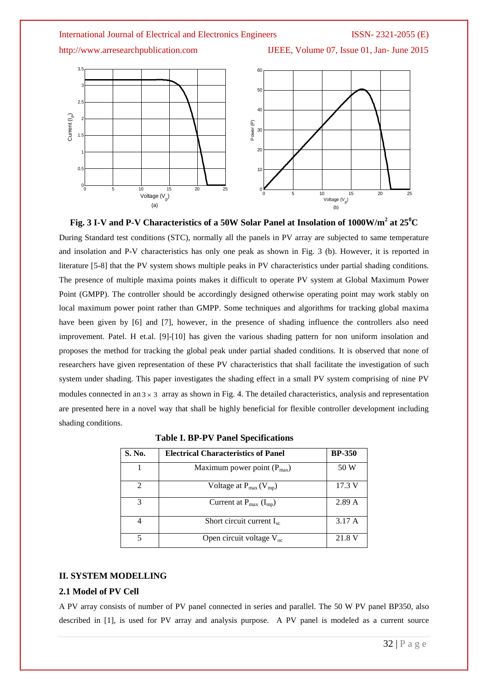http://www.arresearchpublication.com IJEEE, Volume 07, Issue 01, Jan- June 2015





modules connected in an  $3 \times 3$  array as shown in Fig. 4. The detailed characteristics, analysis and representation are presented here in a novel way that shall be highly beneficial for flexible controller development including shading conditions.

| S. No.        | <b>Electrical Characteristics of Panel</b> | <b>BP-350</b> |
|---------------|--------------------------------------------|---------------|
|               | Maximum power point $(P_{max})$            | 50 W          |
| $\mathcal{D}$ | Voltage at $P_{max}(V_{mp})$               | 17.3 V        |
| 3             | Current at $P_{max}$ (I <sub>mp</sub> )    | 2.89A         |
|               | Short circuit current $I_{sc}$             | 3.17A         |
|               | Open circuit voltage $V_{oc}$              | 21.8 V        |

**Table I. BP-PV Panel Specifications**

# **II. SYSTEM MODELLING**

### **2.1 Model of PV Cell**

A PV array consists of number of PV panel connected in series and parallel. The 50 W PV panel BP350, also described in [1], is used for PV array and analysis purpose. A PV panel is modeled as a current source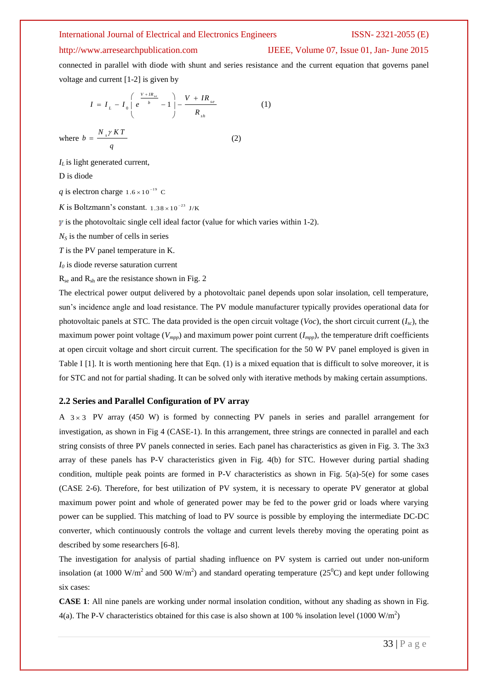### http://www.arresearchpublication.com IJEEE, Volume 07, Issue 01, Jan- June 2015

connected in parallel with diode with shunt and series resistance and the current equation that governs panel voltage and current [1-2] is given by

$$
I = I_{L} - I_{0} \begin{pmatrix} \frac{V + IR_{se}}{b} - 1 \\ \frac{V}{b} - 1 \end{pmatrix} - \frac{V + IR_{se}}{R_{sh}} \tag{1}
$$

where  $b = \frac{N_s \gamma K T}{\rho}$ *q*  $=\frac{N_s \gamma K I}{(2)}$ 

*IL* is light generated current,

D is diode

*q* is electron charge  $1.6 \times 10^{-19}$  C

*K* is Boltzmann's constant.  $1.38 \times 10^{-23}$  J/K

 $\gamma$  is the photovoltaic single cell ideal factor (value for which varies within 1-2).

 $N<sub>S</sub>$  is the number of cells in series

*T* is the PV panel temperature in K.

*I<sup>0</sup>* is diode reverse saturation current

 $R_{se}$  and  $R_{sh}$  are the resistance shown in Fig. 2

The electrical power output delivered by a photovoltaic panel depends upon solar insolation, cell temperature, sun's incidence angle and load resistance. The PV module manufacturer typically provides operational data for photovoltaic panels at STC. The data provided is the open circuit voltage (*Voc*), the short circuit current  $(I_{sc})$ , the maximum power point voltage  $(V_{mpp})$  and maximum power point current  $(I_{mpp})$ , the temperature drift coefficients at open circuit voltage and short circuit current. The specification for the 50 W PV panel employed is given in Table I [1]. It is worth mentioning here that Eqn. (1) is a mixed equation that is difficult to solve moreover, it is for STC and not for partial shading. It can be solved only with iterative methods by making certain assumptions.

### **2.2 Series and Parallel Configuration of PV array**

A  $3 \times 3$  PV array (450 W) is formed by connecting PV panels in series and parallel arrangement for investigation, as shown in Fig 4 (CASE-1). In this arrangement, three strings are connected in parallel and each string consists of three PV panels connected in series. Each panel has characteristics as given in Fig. 3. The 3x3 array of these panels has P-V characteristics given in Fig. 4(b) for STC. However during partial shading condition, multiple peak points are formed in P-V characteristics as shown in Fig. 5(a)-5(e) for some cases (CASE 2-6). Therefore, for best utilization of PV system, it is necessary to operate PV generator at global maximum power point and whole of generated power may be fed to the power grid or loads where varying power can be supplied. This matching of load to PV source is possible by employing the intermediate DC-DC converter, which continuously controls the voltage and current levels thereby moving the operating point as described by some researchers [6-8].

The investigation for analysis of partial shading influence on PV system is carried out under non-uniform insolation (at 1000 W/m<sup>2</sup> and 500 W/m<sup>2</sup>) and standard operating temperature (25<sup>0</sup>C) and kept under following six cases:

**CASE 1**: All nine panels are working under normal insolation condition, without any shading as shown in Fig. 4(a). The P-V characteristics obtained for this case is also shown at 100 % insolation level (1000 W/m<sup>2</sup>)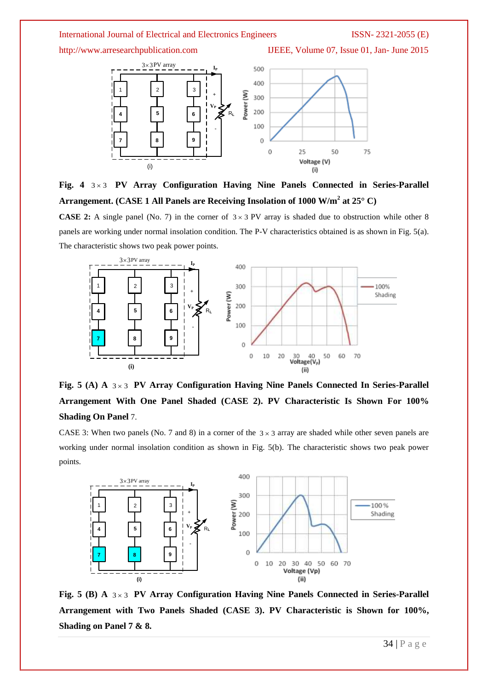

Fig. 4 3×3 PV Array Configuration Having Nine Panels Connected in Series-Parallel **Arrangement. (CASE 1 All Panels are Receiving Insolation of 1000 W/m<sup>2</sup> at 25° C)**

**CASE 2:** A single panel (No. 7) in the corner of  $3 \times 3$  PV array is shaded due to obstruction while other 8 panels are working under normal insolation condition. The P-V characteristics obtained is as shown in Fig. 5(a). The characteristic shows two peak power points. g under normal insolation condition<br>shows two peak power points.<br> $\frac{3 \times 3PV}{P} = \frac{3 \times 3PV}{P} = \frac{3 \times 3PV}{P} = \frac{3 \times 3PV}{P}$ 



Fig. 5 (A) A  $3 \times 3$  PV Array Configuration Having Nine Panels Connected In Series-Parallel **Arrangement With One Panel Shaded (CASE 2). PV Characteristic Is Shown For 100% Shading On Panel** 7.

CASE 3: When two panels (No. 7 and 8) in a corner of the  $3 \times 3$  array are shaded while other seven panels are working under normal insolation condition as shown in Fig. 5(b). The characteristic shows two peak power points.



Fig. 5 (B) A  $3 \times 3$  PV Array Configuration Having Nine Panels Connected in Series-Parallel **Arrangement with Two Panels Shaded (CASE 3). PV Characteristic is Shown for 100%, Shading on Panel 7 & 8.**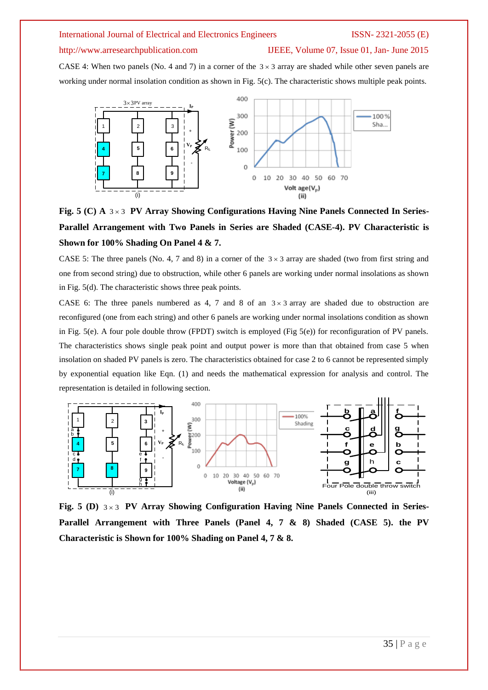http://www.arresearchpublication.com IJEEE, Volume 07, Issue 01, Jan- June 2015

CASE 4: When two panels (No. 4 and 7) in a corner of the  $3 \times 3$  array are shaded while other seven panels are working under normal insolation condition as shown in Fig. 5(c). The characteristic shows multiple peak points.



Fig. 5 (C) A  $3 \times 3$  PV Array Showing Configurations Having Nine Panels Connected In Series-**Parallel Arrangement with Two Panels in Series are Shaded (CASE-4). PV Characteristic is Shown for 100% Shading On Panel 4 & 7.**

CASE 5: The three panels (No. 4, 7 and 8) in a corner of the  $3 \times 3$  array are shaded (two from first string and one from second string) due to obstruction, while other 6 panels are working under normal insolations as shown in Fig. 5(d). The characteristic shows three peak points.

CASE 6: The three panels numbered as 4, 7 and 8 of an  $3 \times 3$  array are shaded due to obstruction are reconfigured (one from each string) and other 6 panels are working under normal insolations condition as shown in Fig. 5(e). A four pole double throw (FPDT) switch is employed (Fig  $5(e)$ ) for reconfiguration of PV panels. The characteristics shows single peak point and output power is more than that obtained from case 5 when insolation on shaded PV panels is zero. The characteristics obtained for case 2 to 6 cannot be represented simply by exponential equation like Eqn. (1) and needs the mathematical expression for analysis and control. The representation is detailed in following section.



Fig. 5 (D)  $3 \times 3$  PV Array Showing Configuration Having Nine Panels Connected in Series-**Parallel Arrangement with Three Panels (Panel 4, 7 & 8) Shaded (CASE 5). the PV Characteristic is Shown for 100% Shading on Panel 4, 7 & 8.**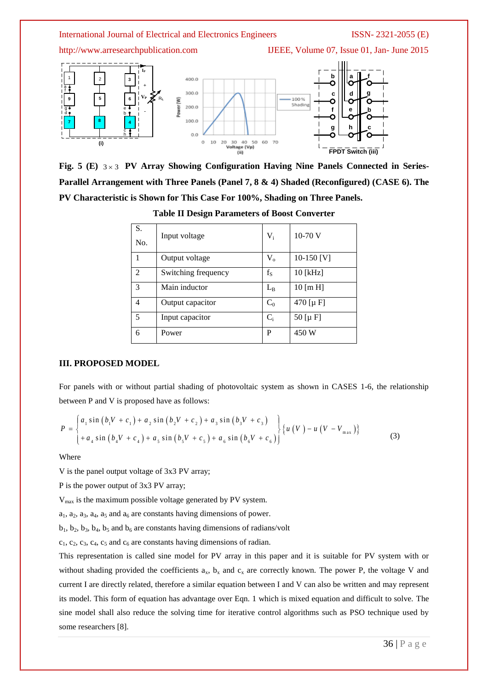

Fig. 5 (E)  $3 \times 3$  PV Array Showing Configuration Having Nine Panels Connected in Series-**Parallel Arrangement with Three Panels (Panel 7, 8 & 4) Shaded (Reconfigured) (CASE 6). The PV Characteristic is Shown for This Case For 100%, Shading on Three Panels.**

| S.<br>No. | Input voltage       | $V_i$   | $10-70$ V                    |
|-----------|---------------------|---------|------------------------------|
| 1         | Output voltage      | $V_{o}$ | 10-150 $[V]$                 |
| 2         | Switching frequency | $f_S$   | $10$ [kHz]                   |
| 3         | Main inductor       | $L_{B}$ | $10 \, \text{m} \, \text{H}$ |
| 4         | Output capacitor    | $C_0$   | $470$ [µ F]                  |
| 5         | Input capacitor     | $C_i$   | 50 [ $\mu$ F]                |
| 6         | Power               | P       | 450 W                        |

**Table II Design Parameters of Boost Converter**

### **III. PROPOSED MODEL**

For panels with or without partial shading of photovoltaic system as shown in CASES 1-6, the relationship

between P and V is proposed have as follows:  
\n
$$
P = \begin{cases} a_1 \sin (b_1 V + c_1) + a_2 \sin (b_2 V + c_2) + a_3 \sin (b_3 V + c_3) \\ + a_4 \sin (b_4 V + c_4) + a_5 \sin (b_5 V + c_5) + a_6 \sin (b_6 V + c_6) \end{cases} \{ u (V) - u (V - V_{max}) \}
$$
\n(3)

Where

V is the panel output voltage of 3x3 PV array;

P is the power output of 3x3 PV array;

Vmax is the maximum possible voltage generated by PV system.

 $a_1$ ,  $a_2$ ,  $a_3$ ,  $a_4$ ,  $a_5$  and  $a_6$  are constants having dimensions of power.

 $b_1$ ,  $b_2$ ,  $b_3$ ,  $b_4$ ,  $b_5$  and  $b_6$  are constants having dimensions of radians/volt

 $c_1, c_2, c_3, c_4, c_5$  and  $c_6$  are constants having dimensions of radian.

This representation is called sine model for PV array in this paper and it is suitable for PV system with or without shading provided the coefficients  $a_x$ ,  $b_x$  and  $c_x$  are correctly known. The power P, the voltage V and current I are directly related, therefore a similar equation between I and V can also be written and may represent its model. This form of equation has advantage over Eqn. 1 which is mixed equation and difficult to solve. The sine model shall also reduce the solving time for iterative control algorithms such as PSO technique used by some researchers [8].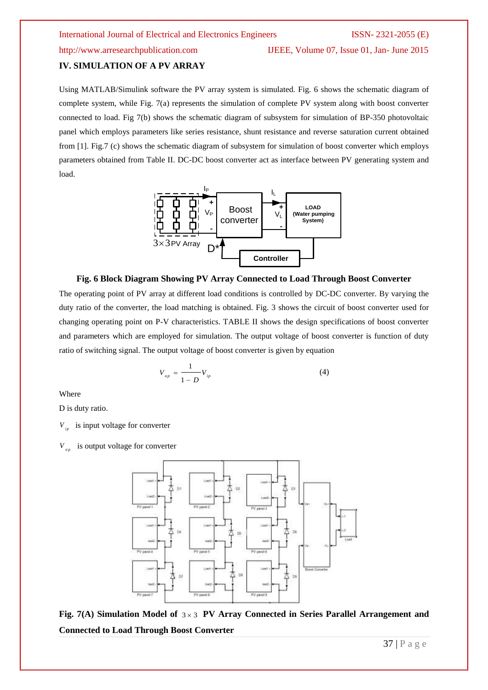### **IV. SIMULATION OF A PV ARRAY**

Using MATLAB/Simulink software the PV array system is simulated. Fig. 6 shows the schematic diagram of complete system, while Fig. 7(a) represents the simulation of complete PV system along with boost converter connected to load. Fig 7(b) shows the schematic diagram of subsystem for simulation of BP-350 photovoltaic panel which employs parameters like series resistance, shunt resistance and reverse saturation current obtained from [1]. Fig.7 (c) shows the schematic diagram of subsystem for simulation of boost converter which employs parameters obtained from Table II. DC-DC boost converter act as interface between PV generating system and load.



### **Fig. 6 Block Diagram Showing PV Array Connected to Load Through Boost Converter**

The operating point of PV array at different load conditions is controlled by DC-DC converter. By varying the duty ratio of the converter, the load matching is obtained. Fig. 3 shows the circuit of boost converter used for changing operating point on P-V characteristics. TABLE II shows the design specifications of boost converter and parameters which are employed for simulation. The output voltage of boost converter is function of duty ratio of switching signal. The output voltage of boost converter is given by equation

$$
V_{_{op}} = \frac{1}{1 - D} V_{_{ip}} \tag{4}
$$

Where

D is duty ratio.

 $V_{in}$  is input voltage for converter

 $V_{op}$  is output voltage for converter



Fig. 7(A) Simulation Model of  $3 \times 3$  PV Array Connected in Series Parallel Arrangement and **Connected to Load Through Boost Converter**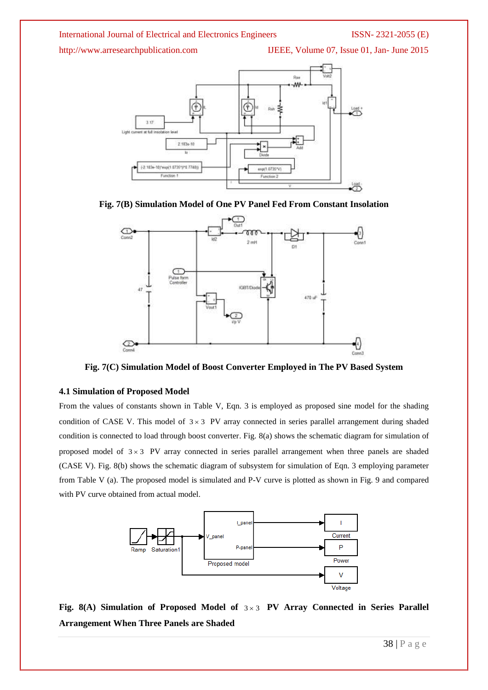http://www.arresearchpublication.com IJEEE, Volume 07, Issue 01, Jan- June 2015







**Fig. 7(C) Simulation Model of Boost Converter Employed in The PV Based System**

## **4.1 Simulation of Proposed Model**

From the values of constants shown in Table V, Eqn. 3 is employed as proposed sine model for the shading condition of CASE V. This model of  $3 \times 3$  PV array connected in series parallel arrangement during shaded condition is connected to load through boost converter. Fig. 8(a) shows the schematic diagram for simulation of proposed model of  $3 \times 3$  PV array connected in series parallel arrangement when three panels are shaded (CASE V). Fig. 8(b) shows the schematic diagram of subsystem for simulation of Eqn. 3 employing parameter from Table V (a). The proposed model is simulated and P-V curve is plotted as shown in Fig. 9 and compared with PV curve obtained from actual model.



Fig. 8(A) Simulation of Proposed Model of  $3 \times 3$  PV Array Connected in Series Parallel **Arrangement When Three Panels are Shaded**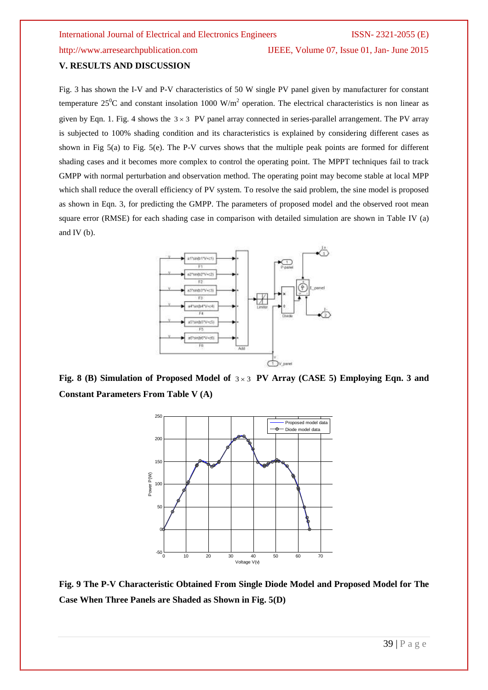### **V. RESULTS AND DISCUSSION**

Fig. 3 has shown the I-V and P-V characteristics of 50 W single PV panel given by manufacturer for constant temperature  $25^{\circ}$ C and constant insolation 1000 W/m<sup>2</sup> operation. The electrical characteristics is non linear as given by Eqn. 1. Fig. 4 shows the  $3 \times 3$  PV panel array connected in series-parallel arrangement. The PV array is subjected to 100% shading condition and its characteristics is explained by considering different cases as shown in Fig 5(a) to Fig. 5(e). The P-V curves shows that the multiple peak points are formed for different shading cases and it becomes more complex to control the operating point. The MPPT techniques fail to track GMPP with normal perturbation and observation method. The operating point may become stable at local MPP which shall reduce the overall efficiency of PV system. To resolve the said problem, the sine model is proposed as shown in Eqn. 3, for predicting the GMPP. The parameters of proposed model and the observed root mean square error (RMSE) for each shading case in comparison with detailed simulation are shown in Table IV (a) and IV (b).



Fig. 8 (B) Simulation of Proposed Model of  $3 \times 3$  PV Array (CASE 5) Employing Eqn. 3 and **Constant Parameters From Table V (A)**



**Fig. 9 The P-V Characteristic Obtained From Single Diode Model and Proposed Model for The Case When Three Panels are Shaded as Shown in Fig. 5(D)**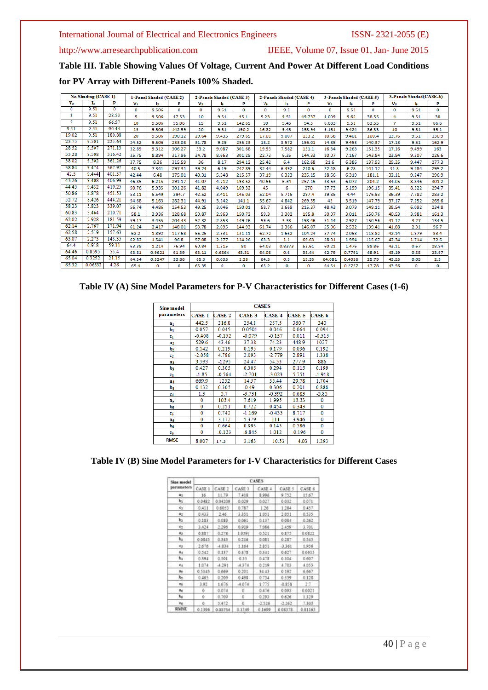http://www.arresearchpublication.com IJEEE, Volume 07, Issue 01, Jan- June 2015

**Table III. Table Showing Values Of Voltage, Current And Power At Different Load Conditions** 

**for PV Array with Different-Panels 100% Shaded.**

| No Shading (CASE 1)<br>1-Panel Shaded (CASE 2) |         |          | 2-Panels Shaded (CASE 3)<br>2-Panels Shaded (CASE 4) |        |        |             | 3-Panels Shaded (CASE 5) |        |             | 3-Panels Shaded(CASE-6) |        |             |        |        |             |       |       |
|------------------------------------------------|---------|----------|------------------------------------------------------|--------|--------|-------------|--------------------------|--------|-------------|-------------------------|--------|-------------|--------|--------|-------------|-------|-------|
| $V_{\rm P}$                                    | Iь      | P        | $V_{\rm P}$                                          | łъ     | p      | $V_{\rm P}$ | Iъ                       | p      | $V_{\rm P}$ | lp.                     | P      | $V_{\rm P}$ | ь      | p      | $V_{\rm P}$ | lp.   | P     |
| 0                                              | 9.51    | $\Omega$ | o                                                    | 9.506  | o      | o           | 9.51                     | o      | o           | 9.5                     | o      | o           | 9.51   | o      | o           | 9.51  | o     |
| з                                              | 9.51    | 28.53    | 5                                                    | 9.506  | 47.53  | 10          | 9.51                     | 95.1   | 5.23        | 9.51                    | 49.737 | 4.009       | 9.62   | 38.55  | 4           | 9.51  | 38    |
|                                                | 9.51    | 66.57    | 10                                                   | 9.506  | 95.06  | 15          | 9.51                     | 142.65 | 10          | 9.45                    | 94.5   | 6.683       | 9.51   | 63.55  | 7           | 9.51  | 66.6  |
| 9.51                                           | 9.51    | 90.44    | 15                                                   | 9.506  | 142.59 | 20          | 9.51                     | 190.2  | 16.82       | 9.45                    | 158.94 | 9.161       | 9.424  | 86.33  | 10          | 9.51  | 95.1  |
| 19.02                                          | 9.51    | 180.88   | 20                                                   | 9.506  | 190.12 | 29.64       | 9.435                    | 279.65 | 17.01       | 9.007                   | 153.2  | 10.68       | 9.401  | 100.4  | 13.76       | 9.51  | 130.9 |
| 23.75                                          | 9.501   | 225.64   | 24.52                                                | 9.506  | 233.08 | 31.78       | 9.29                     | 295.23 | 18.2        | 8.572                   | 156.01 | 14.85       | 9.453  | 140.37 | 17.13       | 9.51  | 162.9 |
| 28.52                                          | 9.507   | 271.13   | 32.89                                                | 9.312  | 306.27 | 33.2        | 9.087                    | 301.68 | 19.93       | 7.582                   | 151.1  | 16.34       | 9.263  | 151.35 | 17.16       | 9.499 | 163   |
| 33.28                                          | 9.508   | 316.42   | 35.75                                                | 8.894  | 317.96 | 34.78       | 8.663                    | 301.29 | 22.73       | 6.35                    | 144.33 | 20.07       | 7.167  | 143.84 | 23.84       | 9.507 | 226.6 |
| 38.02                                          | 9.502   | 361.26   | 37.75                                                | 8.36   | 315.59 | 36          | 8.17                     | 294.12 | 25.42       | 6.4                     | 162.68 | 21.6        | 6.386  | 137.93 | 29.35       | 9.447 | 277.3 |
| 38.84                                          | 9.474   | 367.97   | 40.5                                                 | 7.341  | 297.31 | 39.24       | 6.19                     | 242.89 | 32.44       | 6.492                   | 210.6  | 22.48       | 6.28   | 141.17 | 31.8        | 9.284 | 295.2 |
| 42.5                                           | 9.444   | 401.37   | 42.44                                                | 6.48   | 275.01 | 40.31       | 5.348                    | 215.57 | 37.19       | 6.323                   | 235.15 | 28.66       | 6.319  | 181.1  | 32.11       | 9.247 | 296.9 |
| 43.26                                          | 9.408   | 406.99   | 46.85                                                | 6.215  | 291.17 | 41.07       | 4.712                    | 193.52 | 40.56       | 6.34                    | 257.15 | 33.63       | 6.072  | 204.2  | 34.05       | 8.846 | 301.2 |
| 44.45                                          | 9.432   | 419.25   | 50.76                                                | 5.935  | 301.26 | 41.82       | 4.049                    | 169.32 | 45          | 6                       | 270    | 37.73       | 5.199  | 196.15 | 35.41       | 8.322 | 294.7 |
| 50.86                                          | 8.878   | 451.53   | 53.11                                                | 5.549  | 294.7  | 42.52       | 3.411                    | 145.03 | 52.04       | 5.715                   | 297.4  | 39.85       | 4.44   | 176.93 | 36.39       | 7.782 | 283.2 |
| 52.72                                          | 8.426   | 444.21   | 54.68                                                | 5.163  | 282.31 | 44.91       | 3.142                    | 141.1  | 55.67       | 4.842                   | 269.55 | 42          | 3.519  | 147.79 | 37.17       | 7.252 | 269.6 |
| 58.23                                          | 5.823   | 339.07   | 56.74                                                | 4.486  | 254.53 | 49.25       | 3.046                    | 150.01 | 58.7        | 3.669                   | 215.37 | 48.43       | 3.079  | 149.11 | 38.54       | 6.092 | 234.8 |
| 60.83                                          | 3.464   | 210.71   | 58.1                                                 | 3.936  | 228.68 | 50.87       | 2.963                    | 150.72 | 59.3        | 3.302                   | 195.8  | 50.07       | 3.011  | 150.76 | 40.53       | 3.981 | 161.3 |
| 62.02                                          | 2.928   | 181.59   | 59.17                                                | 3.455  | 204.43 | 52.32       | 2.853                    | 149.26 | 59.6        | 3.33                    | 198.46 | 51.44       | 2.927  | 150.56 | 41.12       | 3.27  | 134.5 |
| 62.14                                          | 2.767   | 171.94   | 61.24                                                | 2.417  | 148.01 | 53.78       | 2.695                    | 144.93 | 61.74       | 2.366                   | 146.07 | 55.06       | 2.532  | 139.41 | 41.88       | 2.31  | 96.7  |
| 62.58                                          | 2.519   | 157.63   | 62.2                                                 | 1.892  | 117.68 | 56.25       | 2.331                    | 131.11 | 62.72       | 1.662                   | 104.24 | 57.74       | 2.058  | 118.82 | 42.14       | 1.979 | 83.4  |
| 63.07                                          | 2.273   | 143.35   | 62.82                                                | 1.541  | 96.8   | 57.08       | 2.177                    | 124.26 | 63.3        | 1.1                     | 69.63  | 58.01       | 1.994  | 115.67 | 42.34       | 1.714 | 72.6  |
| 64.4                                           | 0.918   | 59.11    | 63.38                                                | 1.214  | 76.94  | 60.84       | 1.315                    | 80     | 64.03       | 0.8373                  | 53.61  | 60.21       | 1.476  | 88.86  | 43.11       | 0.67  | 28.94 |
| 64.46                                          | 0.8595  | 55.4     | 63.81                                                | 0.9621 | 61.39  | 63.11       | 0.6864                   | 43.31  | 64.08       | 0.6                     | 38.44  | 62.79       | 0.7791 | 48.91  | 43.19       | 0.55  | 23.97 |
| 65.04                                          | 0.3252  | 21.15    | 64.54                                                | 0.5247 | 33.86  | 65.3        | 0.035                    | 2.28   | 64.5        | 0.3                     | 19.35  | 64.081      | 0.4026 | 25.79  | 43.55       | 0.05  | 2.3   |
| 65.32                                          | 0.06532 | 4.26     | 65.4                                                 | o      | o      | 65.35       | o                        | o      | 65.2        | o                       | o      | 64.51       | 0.2757 | 17.78  | 43.56       | o     | o     |

# **Table IV (A) Sine Model Parameters for P-V Characteristics for Different Cases (1-6)**

| Sine model     | <b>CASES</b>  |               |               |          |               |              |  |  |  |
|----------------|---------------|---------------|---------------|----------|---------------|--------------|--|--|--|
| parameters     | <b>CASE 1</b> | <b>CASE 2</b> | <b>CASE 3</b> | CASE 4   | <b>CASE 5</b> | CASE 6       |  |  |  |
| aı             | 442.5         | 316.8         | 254.1         | 257.5    | 360.7         | 340          |  |  |  |
| bı             | 0.057         | 0.045         | 0.0501        | 0.046    | 0.064         | 0.094        |  |  |  |
| c <sub>1</sub> | $-0.408$      | $-0.152$      | $-0.079$      | $-0.157$ | 0.011         | $-0.515$     |  |  |  |
| a <sub>2</sub> | 529.6         | 43.46         | 37.38         | 74.23    | 448.9         | 1027         |  |  |  |
| $\mathbf{b}_2$ | 0.142         | 0.219         | 0.195         | 0.179    | 0.096         | 0.192        |  |  |  |
| c <sub>2</sub> | $-2.058$      | 4.786         | 2.093         | $-2.779$ | 2.891         | 1.338        |  |  |  |
| $a_3$          | 3.393         | $-1295$       | 24.47         | 54.53    | 277.9         | 886          |  |  |  |
| b3             | 0.427         | 0.305         | 0.305         | 0.294    | 0.115         | 0.199        |  |  |  |
| C3             | $-1.85$       | $-0.564$      | $-2.701$      | $-3.023$ | 5.751         | $-1.918$     |  |  |  |
| a,             | 669.9         | 1252          | 14.57         | 35.44    | 29.78         | 1.704        |  |  |  |
| $b4$           | 0.132         | 0.305         | 0.49          | 0.306    | 0.201         | 0.888        |  |  |  |
| C4             | 1.3           | 5.7           | $-3.731$      | $-0.392$ | 0.683         | $-5.85$      |  |  |  |
| as             | $\bf{0}$      | 105.4         | 7.619         | 1.995    | 15.53         | 0            |  |  |  |
| $b_5$          | 0             | 0.251         | 0.722         | 0.454    | 0.343         | 0            |  |  |  |
| c5             | 0             | 0.742         | $-1.169$      | $-0.435$ | 8.717         | $\mathbf{0}$ |  |  |  |
| a <sub>6</sub> | $\mathbf{0}$  | 3.172         | 5.379         | 111      | 3.946         | 0            |  |  |  |
| $\mathbf{b}_6$ | 0             | 0.664         | 0.993         | 0.145    | 0.586         | 0            |  |  |  |
| C6             | $\mathbf{0}$  | $-0.123$      | $-6.845$      | 1.012    | $-0.196$      | 0            |  |  |  |
| <b>RMSE</b>    | 8.007         | 17.3          | 3.163         | 10.53    | 4.03          | 1.293        |  |  |  |

# **Table IV (B) Sine Model Parameters for I-V Characteristics for Different Cases**

| Sine model<br>parameters | <b>CASES</b> |          |          |          |          |         |  |  |  |  |
|--------------------------|--------------|----------|----------|----------|----------|---------|--|--|--|--|
|                          | CASE 1       | CASE 2   | CASE 3   | CASE 4   | CASE 5   | CASE 6  |  |  |  |  |
| $11 -$                   | 15           | 11:79    | T.418    | 8.996    | 9.752    | 15.67   |  |  |  |  |
| bi.                      | 0.0482       | 0.04209  | 0.029    | 0.027    | 0.032    | 0.071   |  |  |  |  |
| 61                       | 0.411        | 0.6053   | 0.787    | 126:     | 1.284    | 6.457   |  |  |  |  |
| $+1$                     | 0.433        | 2.46     | 3.331    | 1.051    | 2.031    | 0.535   |  |  |  |  |
| h,                       | 0.183        | 0.089    | 0.061    | 8.137    | 0.084    | 0.262   |  |  |  |  |
| $e_T$                    | 3.424        | 2.296    | 0.919    | 7.055    | 2.439    | 3.701   |  |  |  |  |
| $B_2$                    | 6.387        | 0.273    | 1.0593   | 0.521    | 0.875    | 0.0822  |  |  |  |  |
| ы.                       | 0.0345       | 8343     | 0.216    | 0.051    | 0.287    | 0.545   |  |  |  |  |
| $\epsilon_1$             | 2,676        | $-1.034$ | 1.164    | 2.851    | $-3.361$ | 1,956   |  |  |  |  |
| 84                       | 0.542        | 0.137    | 0.178    | 0.341    | 0.627    | 0.0615  |  |  |  |  |
| b.                       | 0.394        | 0.501    | 0.33     | 0.473    | 0.304    | 0.607   |  |  |  |  |
| $E_4$                    | 1.074        | $-4.291$ | 4374     | 0.219    | 4.703    | 4.053   |  |  |  |  |
| $\frac{1}{2}$            | 0.5143       | 0.669    | 0.201    | 34.43    | 0.192    | 6,667   |  |  |  |  |
| by.                      | 0.405        | 0.209    | 0.498    | 0.734    | 0.539    | 0.128   |  |  |  |  |
| 54                       | $-3.92$      | 1.676    | $-4.074$ | 1.775    | 0.858    | 2.7.    |  |  |  |  |
| $\mathbf{z}_4$           | ŭ.           | 0.074    | n        | 0.476    | 0.093    | 0.0021  |  |  |  |  |
| Ъu.                      | ō            | 0.769    | $\alpha$ | 0.293    | 0.626    | 1,329   |  |  |  |  |
| Ed.                      | ö            | 3.4T2    | 0        | $-2.526$ | $-2.362$ | 7.363   |  |  |  |  |
| <b>RMSE</b>              | 0.1396       | 0.03754  | 0.1549   | 0.1609   | 0.08378  | 0.01165 |  |  |  |  |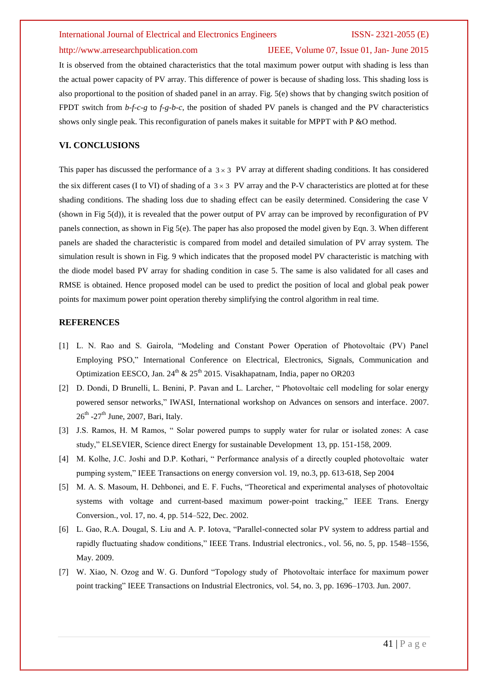### http://www.arresearchpublication.com IJEEE, Volume 07, Issue 01, Jan- June 2015

It is observed from the obtained characteristics that the total maximum power output with shading is less than the actual power capacity of PV array. This difference of power is because of shading loss. This shading loss is also proportional to the position of shaded panel in an array. Fig. 5(e) shows that by changing switch position of FPDT switch from *b-f-c-g* to *f-g-b-c*, the position of shaded PV panels is changed and the PV characteristics shows only single peak. This reconfiguration of panels makes it suitable for MPPT with P &O method.

### **VI. CONCLUSIONS**

This paper has discussed the performance of a  $3 \times 3$  PV array at different shading conditions. It has considered the six different cases (I to VI) of shading of a  $3 \times 3$  PV array and the P-V characteristics are plotted at for these shading conditions. The shading loss due to shading effect can be easily determined. Considering the case V (shown in Fig 5(d)), it is revealed that the power output of PV array can be improved by reconfiguration of PV panels connection, as shown in Fig 5(e). The paper has also proposed the model given by Eqn. 3. When different panels are shaded the characteristic is compared from model and detailed simulation of PV array system. The simulation result is shown in Fig. 9 which indicates that the proposed model PV characteristic is matching with the diode model based PV array for shading condition in case 5. The same is also validated for all cases and RMSE is obtained. Hence proposed model can be used to predict the position of local and global peak power points for maximum power point operation thereby simplifying the control algorithm in real time.

### **REFERENCES**

- [1] L. N. Rao and S. Gairola, "Modeling and Constant Power Operation of Photovoltaic (PV) Panel Employing PSO," International Conference on Electrical, Electronics, Signals, Communication and Optimization EESCO, Jan.  $24^{th}$  &  $25^{th}$  2015. Visakhapatnam, India, paper no OR203
- [2] D. Dondi, D Brunelli, L. Benini, P. Pavan and L. Larcher, " Photovoltaic cell modeling for solar energy powered sensor networks," IWASI, International workshop on Advances on sensors and interface. 2007.  $26<sup>th</sup>$  -27<sup>th</sup> June, 2007, Bari, Italy.
- [3] J.S. Ramos, H. M Ramos, " Solar powered pumps to supply water for rular or isolated zones: A case study," ELSEVIER, Science direct Energy for sustainable Development 13, pp. 151-158, 2009.
- [4] M. Kolhe, J.C. Joshi and D.P. Kothari, " Performance analysis of a directly coupled photovoltaic water pumping system," IEEE Transactions on energy conversion vol. 19, no.3, pp. 613-618, Sep 2004
- [5] M. A. S. Masoum, H. Dehbonei, and E. F. Fuchs, "Theoretical and experimental analyses of photovoltaic systems with voltage and current-based maximum power-point tracking," IEEE Trans. Energy Conversion., vol. 17, no. 4, pp. 514–522, Dec. 2002.
- [6] L. Gao, R.A. Dougal, S. Liu and A. P. Iotova, "Parallel-connected solar PV system to address partial and rapidly fluctuating shadow conditions," IEEE Trans. Industrial electronics., vol. 56, no. 5, pp. 1548–1556, May. 2009.
- [7] W. Xiao, N. Ozog and W. G. Dunford "Topology study of Photovoltaic interface for maximum power point tracking" IEEE Transactions on Industrial Electronics, vol. 54, no. 3, pp. 1696–1703. Jun. 2007.